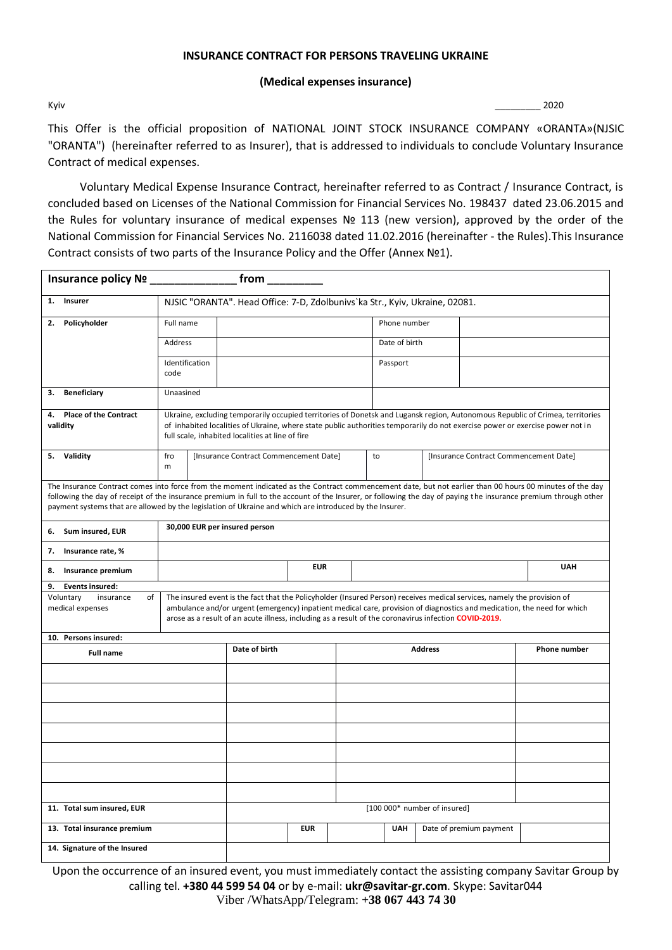#### **INSURANCE CONTRACT FOR PERSONS TRAVELING UKRAINE**

#### **(Medical expenses insurance)**

Kyiv \_\_\_\_\_\_\_\_\_ 2020

This Offer is the official proposition of NATIONAL JOINT STOCK INSURANCE COMPANY «ORANTA»(NJSIC "ORANTA") (hereinafter referred to as Insurer), that is addressed to individuals to conclude Voluntary Insurance Contract of medical expenses.

Voluntary Medical Expense Insurance Contract, hereinafter referred to as Contract / Insurance Contract, is concluded based on Licenses of the National Commission for Financial Services No. 198437 dated 23.06.2015 and the Rules for voluntary insurance of medical expenses № 113 (new version), approved by the order of the National Commission for Financial Services No. 2116038 dated 11.02.2016 (hereinafter - the Rules).This Insurance Contract consists of two parts of the Insurance Policy and the Offer (Annex №1).

| Insurance policy Nº ______________                                                                                                                                                                                                                                                                                                                                                                                                     |                                                                                                                                                                                                                                                                                                                                                             |  | $from$ ________                        |            |                |                                       |                              |                                        |  |  |
|----------------------------------------------------------------------------------------------------------------------------------------------------------------------------------------------------------------------------------------------------------------------------------------------------------------------------------------------------------------------------------------------------------------------------------------|-------------------------------------------------------------------------------------------------------------------------------------------------------------------------------------------------------------------------------------------------------------------------------------------------------------------------------------------------------------|--|----------------------------------------|------------|----------------|---------------------------------------|------------------------------|----------------------------------------|--|--|
| 1. Insurer                                                                                                                                                                                                                                                                                                                                                                                                                             | NJSIC "ORANTA". Head Office: 7-D, Zdolbunivs'ka Str., Kyiv, Ukraine, 02081.                                                                                                                                                                                                                                                                                 |  |                                        |            |                |                                       |                              |                                        |  |  |
| Policyholder<br>2.                                                                                                                                                                                                                                                                                                                                                                                                                     | Full name                                                                                                                                                                                                                                                                                                                                                   |  |                                        |            |                | Phone number                          |                              |                                        |  |  |
|                                                                                                                                                                                                                                                                                                                                                                                                                                        | <b>Address</b>                                                                                                                                                                                                                                                                                                                                              |  |                                        |            |                | Date of birth                         |                              |                                        |  |  |
|                                                                                                                                                                                                                                                                                                                                                                                                                                        | Identification<br>code                                                                                                                                                                                                                                                                                                                                      |  |                                        |            |                | Passport                              |                              |                                        |  |  |
| <b>Beneficiary</b><br>З.                                                                                                                                                                                                                                                                                                                                                                                                               | Unaasined                                                                                                                                                                                                                                                                                                                                                   |  |                                        |            |                |                                       |                              |                                        |  |  |
| <b>Place of the Contract</b><br>4.<br>validity                                                                                                                                                                                                                                                                                                                                                                                         | Ukraine, excluding temporarily occupied territories of Donetsk and Lugansk region, Autonomous Republic of Crimea, territories<br>of inhabited localities of Ukraine, where state public authorities temporarily do not exercise power or exercise power not in<br>full scale, inhabited localities at line of fire                                          |  |                                        |            |                |                                       |                              |                                        |  |  |
| 5. Validity                                                                                                                                                                                                                                                                                                                                                                                                                            | fro<br>m                                                                                                                                                                                                                                                                                                                                                    |  | [Insurance Contract Commencement Date] |            |                | to                                    |                              | [Insurance Contract Commencement Date] |  |  |
| The Insurance Contract comes into force from the moment indicated as the Contract commencement date, but not earlier than 00 hours 00 minutes of the day<br>following the day of receipt of the insurance premium in full to the account of the Insurer, or following the day of paying the insurance premium through other<br>payment systems that are allowed by the legislation of Ukraine and which are introduced by the Insurer. |                                                                                                                                                                                                                                                                                                                                                             |  |                                        |            |                |                                       |                              |                                        |  |  |
| 6. Sum insured, EUR                                                                                                                                                                                                                                                                                                                                                                                                                    | 30,000 EUR per insured person                                                                                                                                                                                                                                                                                                                               |  |                                        |            |                |                                       |                              |                                        |  |  |
| 7. Insurance rate, %                                                                                                                                                                                                                                                                                                                                                                                                                   |                                                                                                                                                                                                                                                                                                                                                             |  |                                        |            |                |                                       |                              |                                        |  |  |
| Insurance premium<br>8.                                                                                                                                                                                                                                                                                                                                                                                                                |                                                                                                                                                                                                                                                                                                                                                             |  | <b>EUR</b>                             |            |                | <b>UAH</b>                            |                              |                                        |  |  |
| <b>Events insured:</b><br>9.                                                                                                                                                                                                                                                                                                                                                                                                           |                                                                                                                                                                                                                                                                                                                                                             |  |                                        |            |                |                                       |                              |                                        |  |  |
| Voluntary<br>of<br>insurance<br>medical expenses                                                                                                                                                                                                                                                                                                                                                                                       | The insured event is the fact that the Policyholder (Insured Person) receives medical services, namely the provision of<br>ambulance and/or urgent (emergency) inpatient medical care, provision of diagnostics and medication, the need for which<br>arose as a result of an acute illness, including as a result of the coronavirus infection COVID-2019. |  |                                        |            |                |                                       |                              |                                        |  |  |
| 10. Persons insured:                                                                                                                                                                                                                                                                                                                                                                                                                   |                                                                                                                                                                                                                                                                                                                                                             |  |                                        |            |                |                                       |                              |                                        |  |  |
| <b>Full name</b>                                                                                                                                                                                                                                                                                                                                                                                                                       |                                                                                                                                                                                                                                                                                                                                                             |  | Date of birth                          |            | <b>Address</b> |                                       |                              | <b>Phone number</b>                    |  |  |
|                                                                                                                                                                                                                                                                                                                                                                                                                                        |                                                                                                                                                                                                                                                                                                                                                             |  |                                        |            |                |                                       |                              |                                        |  |  |
|                                                                                                                                                                                                                                                                                                                                                                                                                                        |                                                                                                                                                                                                                                                                                                                                                             |  |                                        |            |                |                                       |                              |                                        |  |  |
|                                                                                                                                                                                                                                                                                                                                                                                                                                        |                                                                                                                                                                                                                                                                                                                                                             |  |                                        |            |                |                                       |                              |                                        |  |  |
|                                                                                                                                                                                                                                                                                                                                                                                                                                        |                                                                                                                                                                                                                                                                                                                                                             |  |                                        |            |                |                                       |                              |                                        |  |  |
|                                                                                                                                                                                                                                                                                                                                                                                                                                        |                                                                                                                                                                                                                                                                                                                                                             |  |                                        |            |                |                                       |                              |                                        |  |  |
|                                                                                                                                                                                                                                                                                                                                                                                                                                        |                                                                                                                                                                                                                                                                                                                                                             |  |                                        |            |                |                                       |                              |                                        |  |  |
| 11. Total sum insured, EUR                                                                                                                                                                                                                                                                                                                                                                                                             |                                                                                                                                                                                                                                                                                                                                                             |  |                                        |            |                |                                       | [100 000* number of insured] |                                        |  |  |
| 13. Total insurance premium                                                                                                                                                                                                                                                                                                                                                                                                            |                                                                                                                                                                                                                                                                                                                                                             |  |                                        | <b>EUR</b> |                | Date of premium payment<br><b>UAH</b> |                              |                                        |  |  |
| 14. Signature of the Insured                                                                                                                                                                                                                                                                                                                                                                                                           |                                                                                                                                                                                                                                                                                                                                                             |  |                                        |            |                |                                       |                              |                                        |  |  |

Upon the occurrence of an insured event, you must immediately contact the assisting company Savitar Group by calling tel. **+380 44 599 54 04** or by e-mail: **[ukr@savitar-gr.com](mailto:ukr@savitar-gr.com)**. Skype: Savitar044 Viber /WhatsApp/Telegram: **+38 067 443 74 30**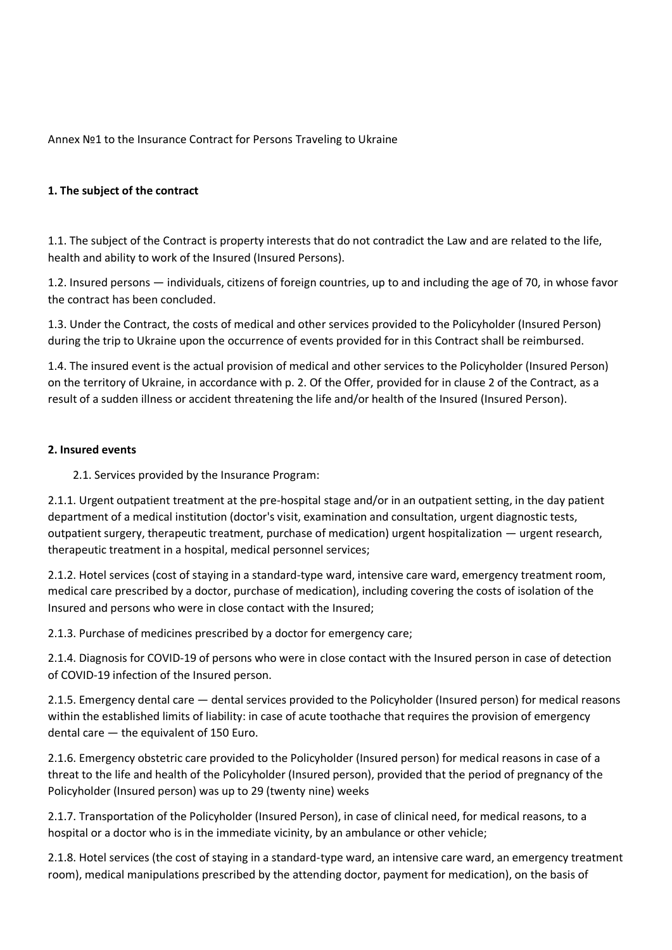Annex №1 to the Insurance Contract for Persons Traveling to Ukraine

#### **1. The subject of the contract**

1.1. The subject of the Contract is property interests that do not contradict the Law and are related to the life, health and ability to work of the Insured (Insured Persons).

1.2. Insured persons — individuals, citizens of foreign countries, up to and including the age of 70, in whose favor the contract has been concluded.

1.3. Under the Contract, the costs of medical and other services provided to the Policyholder (Insured Person) during the trip to Ukraine upon the occurrence of events provided for in this Contract shall be reimbursed.

1.4. The insured event is the actual provision of medical and other services to the Policyholder (Insured Person) on the territory of Ukraine, in accordance with p. 2. Of the Offer, provided for in clause 2 of the Contract, as a result of a sudden illness or accident threatening the life and/or health of the Insured (Insured Person).

#### **2. Insured events**

2.1. Services provided by the Insurance Program:

2.1.1. Urgent outpatient treatment at the pre-hospital stage and/or in an outpatient setting, in the day patient department of a medical institution (doctor's visit, examination and consultation, urgent diagnostic tests, outpatient surgery, therapeutic treatment, purchase of medication) urgent hospitalization — urgent research, therapeutic treatment in a hospital, medical personnel services;

2.1.2. Hotel services (cost of staying in a standard-type ward, intensive care ward, emergency treatment room, medical care prescribed by a doctor, purchase of medication), including covering the costs of isolation of the Insured and persons who were in close contact with the Insured;

2.1.3. Purchase of medicines prescribed by a doctor for emergency care;

2.1.4. Diagnosis for COVID-19 of persons who were in close contact with the Insured person in case of detection of COVID-19 infection of the Insured person.

2.1.5. Emergency dental care — dental services provided to the Policyholder (Insured person) for medical reasons within the established limits of liability: in case of acute toothache that requires the provision of emergency dental care — the equivalent of 150 Euro.

2.1.6. Emergency obstetric care provided to the Policyholder (Insured person) for medical reasons in case of a threat to the life and health of the Policyholder (Insured person), provided that the period of pregnancy of the Policyholder (Insured person) was up to 29 (twenty nine) weeks

2.1.7. Transportation of the Policyholder (Insured Person), in case of clinical need, for medical reasons, to a hospital or a doctor who is in the immediate vicinity, by an ambulance or other vehicle;

2.1.8. Hotel services (the cost of staying in a standard-type ward, an intensive care ward, an emergency treatment room), medical manipulations prescribed by the attending doctor, payment for medication), on the basis of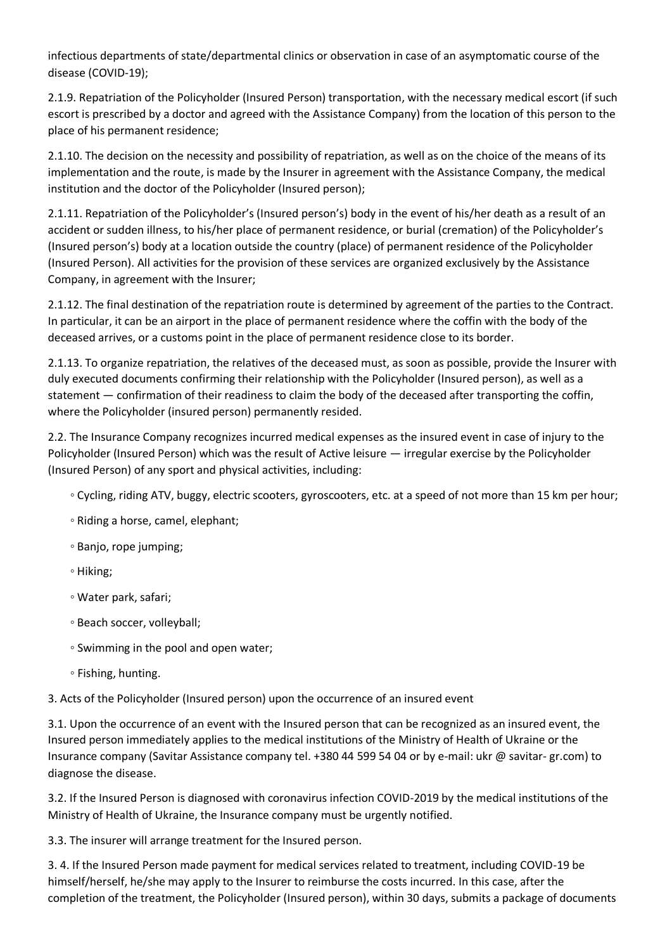infectious departments of state/departmental clinics or observation in case of an asymptomatic course of the disease (COVID-19);

2.1.9. Repatriation of the Policyholder (Insured Person) transportation, with the necessary medical escort (if such escort is prescribed by a doctor and agreed with the Assistance Company) from the location of this person to the place of his permanent residence;

2.1.10. The decision on the necessity and possibility of repatriation, as well as on the choice of the means of its implementation and the route, is made by the Insurer in agreement with the Assistance Company, the medical institution and the doctor of the Policyholder (Insured person);

2.1.11. Repatriation of the Policyholder's (Insured person's) body in the event of his/her death as a result of an accident or sudden illness, to his/her place of permanent residence, or burial (cremation) of the Policyholder's (Insured person's) body at a location outside the country (place) of permanent residence of the Policyholder (Insured Person). All activities for the provision of these services are organized exclusively by the Assistance Company, in agreement with the Insurer;

2.1.12. The final destination of the repatriation route is determined by agreement of the parties to the Contract. In particular, it can be an airport in the place of permanent residence where the coffin with the body of the deceased arrives, or a customs point in the place of permanent residence close to its border.

2.1.13. To organize repatriation, the relatives of the deceased must, as soon as possible, provide the Insurer with duly executed documents confirming their relationship with the Policyholder (Insured person), as well as a statement — confirmation of their readiness to claim the body of the deceased after transporting the coffin, where the Policyholder (insured person) permanently resided.

2.2. The Insurance Company recognizes incurred medical expenses as the insured event in case of injury to the Policyholder (Insured Person) which was the result of Active leisure — irregular exercise by the Policyholder (Insured Person) of any sport and physical activities, including:

- Cycling, riding ATV, buggy, electric scooters, gyroscooters, etc. at a speed of not more than 15 km per hour;
- Riding a horse, camel, elephant;
- Banjo, rope jumping;
- Hiking;
- Water park, safari;
- Beach soccer, volleyball;
- Swimming in the pool and open water;
- Fishing, hunting.

3. Acts of the Policyholder (Insured person) upon the occurrence of an insured event

3.1. Upon the occurrence of an event with the Insured person that can be recognized as an insured event, the Insured person immediately applies to the medical institutions of the Ministry of Health of Ukraine or the Insurance company (Savitar Assistance company tel. +380 44 599 54 04 or by e-mail: ukr @ savitar- gr.com) to diagnose the disease.

3.2. If the Insured Person is diagnosed with coronavirus infection COVID-2019 by the medical institutions of the Ministry of Health of Ukraine, the Insurance company must be urgently notified.

3.3. The insurer will arrange treatment for the Insured person.

3. 4. If the Insured Person made payment for medical services related to treatment, including COVID-19 be himself/herself, he/she may apply to the Insurer to reimburse the costs incurred. In this case, after the completion of the treatment, the Policyholder (Insured person), within 30 days, submits a package of documents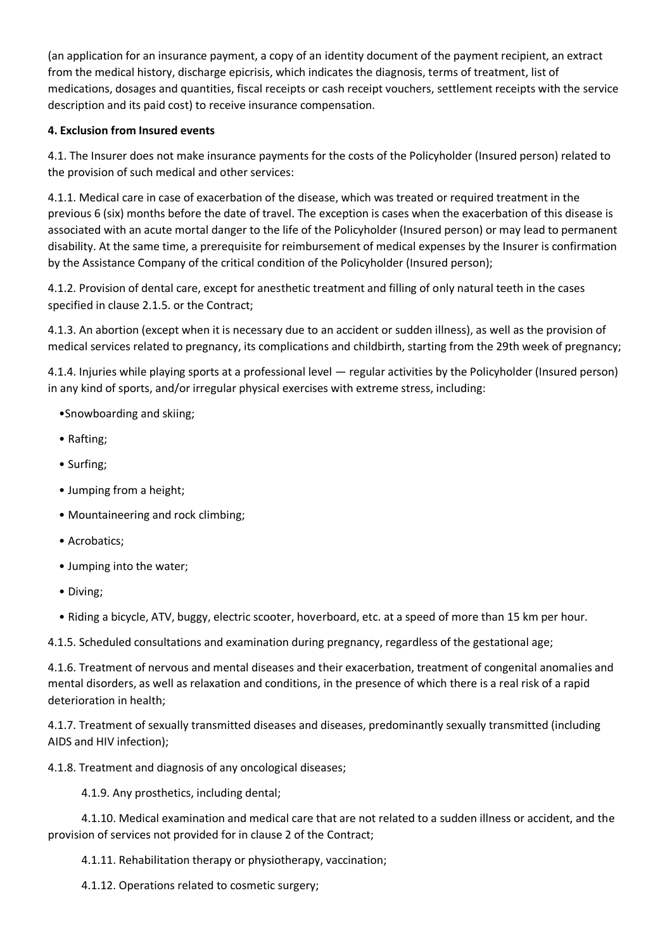(an application for an insurance payment, a copy of an identity document of the payment recipient, an extract from the medical history, discharge epicrisis, which indicates the diagnosis, terms of treatment, list of medications, dosages and quantities, fiscal receipts or cash receipt vouchers, settlement receipts with the service description and its paid cost) to receive insurance compensation.

## **4. Exclusion from Insured events**

4.1. The Insurer does not make insurance payments for the costs of the Policyholder (Insured person) related to the provision of such medical and other services:

4.1.1. Medical care in case of exacerbation of the disease, which was treated or required treatment in the previous 6 (six) months before the date of travel. The exception is cases when the exacerbation of this disease is associated with an acute mortal danger to the life of the Policyholder (Insured person) or may lead to permanent disability. At the same time, a prerequisite for reimbursement of medical expenses by the Insurer is confirmation by the Assistance Company of the critical condition of the Policyholder (Insured person);

4.1.2. Provision of dental care, except for anesthetic treatment and filling of only natural teeth in the cases specified in clause 2.1.5. or the Contract;

4.1.3. An abortion (except when it is necessary due to an accident or sudden illness), as well as the provision of medical services related to pregnancy, its complications and childbirth, starting from the 29th week of pregnancy;

4.1.4. Injuries while playing sports at a professional level — regular activities by the Policyholder (Insured person) in any kind of sports, and/or irregular physical exercises with extreme stress, including:

- •Snowboarding and skiing;
- Rafting;
- Surfing;
- Jumping from a height;
- Mountaineering and rock climbing;
- Acrobatics;
- Jumping into the water;
- Diving;
- Riding a bicycle, ATV, buggy, electric scooter, hoverboard, etc. at a speed of more than 15 km per hour.

4.1.5. Scheduled consultations and examination during pregnancy, regardless of the gestational age;

4.1.6. Treatment of nervous and mental diseases and their exacerbation, treatment of congenital anomalies and mental disorders, as well as relaxation and conditions, in the presence of which there is a real risk of a rapid deterioration in health;

4.1.7. Treatment of sexually transmitted diseases and diseases, predominantly sexually transmitted (including AIDS and HIV infection);

4.1.8. Treatment and diagnosis of any oncological diseases;

4.1.9. Any prosthetics, including dental;

 4.1.10. Medical examination and medical care that are not related to a sudden illness or accident, and the provision of services not provided for in clause 2 of the Contract;

4.1.11. Rehabilitation therapy or physiotherapy, vaccination;

4.1.12. Operations related to cosmetic surgery;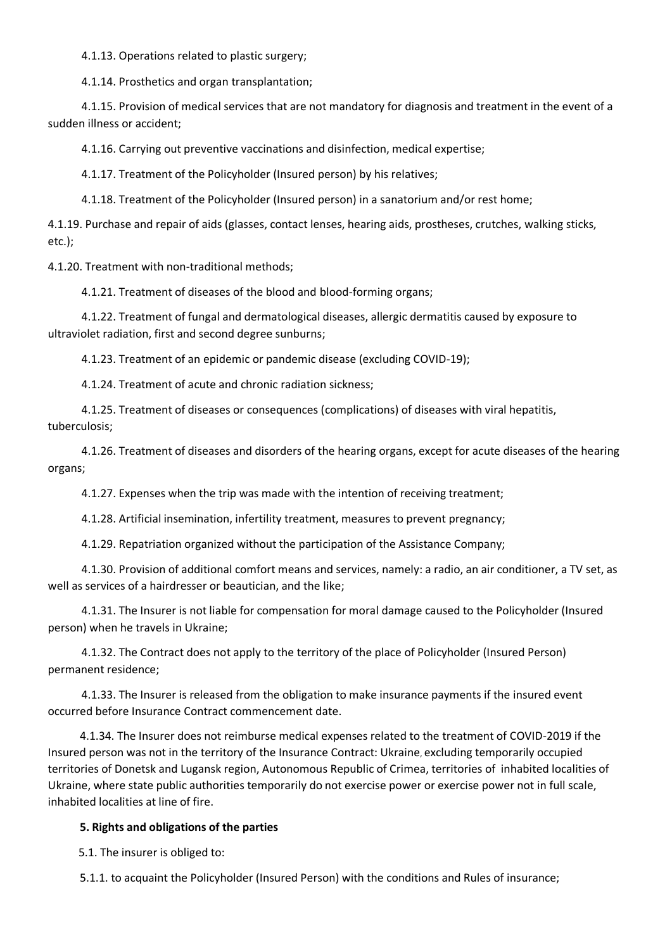4.1.13. Operations related to plastic surgery;

4.1.14. Prosthetics and organ transplantation;

 4.1.15. Provision of medical services that are not mandatory for diagnosis and treatment in the event of a sudden illness or accident;

4.1.16. Carrying out preventive vaccinations and disinfection, medical expertise;

4.1.17. Treatment of the Policyholder (Insured person) by his relatives;

4.1.18. Treatment of the Policyholder (Insured person) in a sanatorium and/or rest home;

4.1.19. Purchase and repair of aids (glasses, contact lenses, hearing aids, prostheses, crutches, walking sticks, etc.);

4.1.20. Treatment with non-traditional methods;

4.1.21. Treatment of diseases of the blood and blood-forming organs;

 4.1.22. Treatment of fungal and dermatological diseases, allergic dermatitis caused by exposure to ultraviolet radiation, first and second degree sunburns;

4.1.23. Treatment of an epidemic or pandemic disease (excluding COVID-19);

4.1.24. Treatment of acute and chronic radiation sickness;

 4.1.25. Treatment of diseases or consequences (complications) of diseases with viral hepatitis, tuberculosis;

 4.1.26. Treatment of diseases and disorders of the hearing organs, except for acute diseases of the hearing organs;

4.1.27. Expenses when the trip was made with the intention of receiving treatment;

4.1.28. Artificial insemination, infertility treatment, measures to prevent pregnancy;

4.1.29. Repatriation organized without the participation of the Assistance Company;

 4.1.30. Provision of additional comfort means and services, namely: a radio, an air conditioner, a TV set, as well as services of a hairdresser or beautician, and the like;

 4.1.31. The Insurer is not liable for compensation for moral damage caused to the Policyholder (Insured person) when he travels in Ukraine;

 4.1.32. The Contract does not apply to the territory of the place of Policyholder (Insured Person) permanent residence;

 4.1.33. The Insurer is released from the obligation to make insurance payments if the insured event occurred before Insurance Contract commencement date.

4.1.34. The Insurer does not reimburse medical expenses related to the treatment of COVID-2019 if the Insured person was not in the territory of the Insurance Contract: Ukraine, excluding temporarily occupied territories of Donetsk and Lugansk region, Autonomous Republic of Crimea, territories of inhabited localities of Ukraine, where state public authorities temporarily do not exercise power or exercise power not in full scale, inhabited localities at line of fire.

## **5. Rights and obligations of the parties**

5.1. The insurer is obliged to:

5.1.1. to acquaint the Policyholder (Insured Person) with the conditions and Rules of insurance;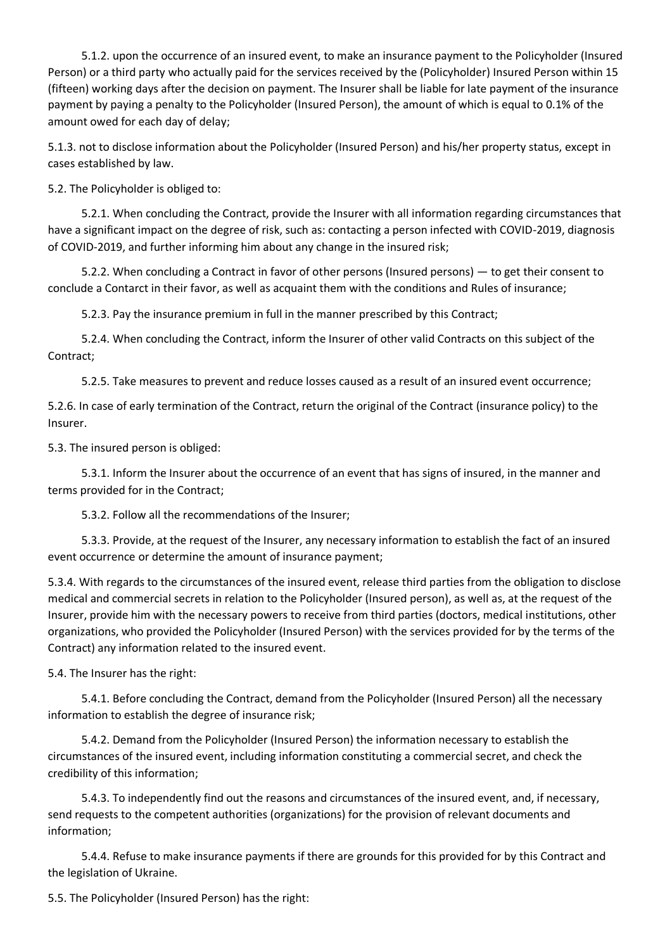5.1.2. upon the occurrence of an insured event, to make an insurance payment to the Policyholder (Insured Person) or a third party who actually paid for the services received by the (Policyholder) Insured Person within 15 (fifteen) working days after the decision on payment. The Insurer shall be liable for late payment of the insurance payment by paying a penalty to the Policyholder (Insured Person), the amount of which is equal to 0.1% of the amount owed for each day of delay;

5.1.3. not to disclose information about the Policyholder (Insured Person) and his/her property status, except in cases established by law.

5.2. The Policyholder is obliged to:

 5.2.1. When concluding the Contract, provide the Insurer with all information regarding circumstances that have a significant impact on the degree of risk, such as: contacting a person infected with COVID-2019, diagnosis of COVID-2019, and further informing him about any change in the insured risk;

 5.2.2. When concluding a Contract in favor of other persons (Insured persons) — to get their consent to conclude a Contarct in their favor, as well as acquaint them with the conditions and Rules of insurance;

5.2.3. Pay the insurance premium in full in the manner prescribed by this Contract;

 5.2.4. When concluding the Contract, inform the Insurer of other valid Contracts on this subject of the Contract;

5.2.5. Take measures to prevent and reduce losses caused as a result of an insured event occurrence;

5.2.6. In case of early termination of the Contract, return the original of the Contract (insurance policy) to the Insurer.

5.3. The insured person is obliged:

 5.3.1. Inform the Insurer about the occurrence of an event that has signs of insured, in the manner and terms provided for in the Contract;

5.3.2. Follow all the recommendations of the Insurer;

 5.3.3. Provide, at the request of the Insurer, any necessary information to establish the fact of an insured event occurrence or determine the amount of insurance payment;

5.3.4. With regards to the circumstances of the insured event, release third parties from the obligation to disclose medical and commercial secrets in relation to the Policyholder (Insured person), as well as, at the request of the Insurer, provide him with the necessary powers to receive from third parties (doctors, medical institutions, other organizations, who provided the Policyholder (Insured Person) with the services provided for by the terms of the Contract) any information related to the insured event.

5.4. The Insurer has the right:

 5.4.1. Before concluding the Contract, demand from the Policyholder (Insured Person) all the necessary information to establish the degree of insurance risk;

 5.4.2. Demand from the Policyholder (Insured Person) the information necessary to establish the circumstances of the insured event, including information constituting a commercial secret, and check the credibility of this information;

 5.4.3. To independently find out the reasons and circumstances of the insured event, and, if necessary, send requests to the competent authorities (organizations) for the provision of relevant documents and information;

 5.4.4. Refuse to make insurance payments if there are grounds for this provided for by this Contract and the legislation of Ukraine.

5.5. The Policyholder (Insured Person) has the right: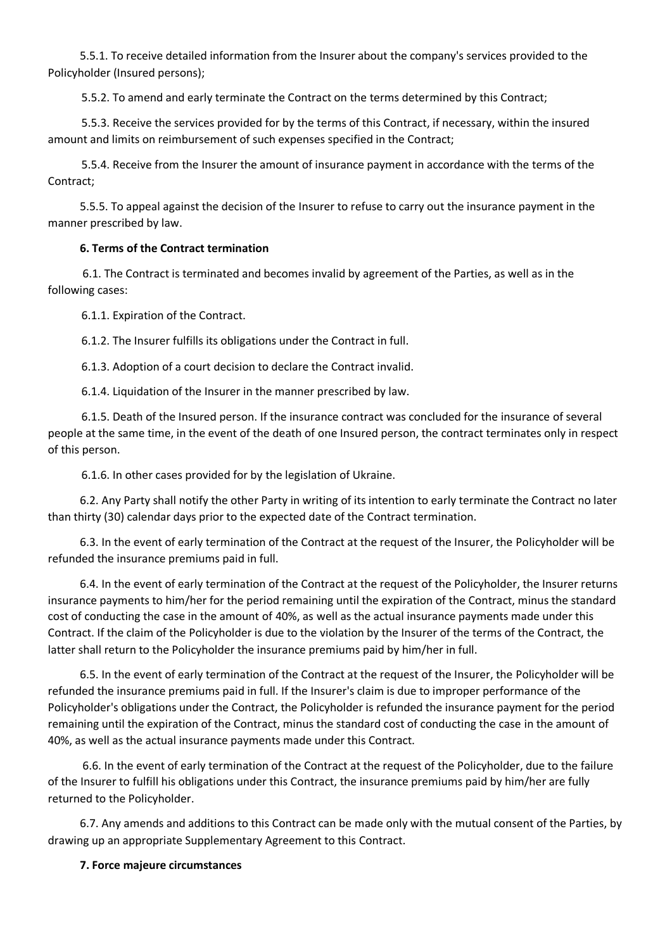5.5.1. To receive detailed information from the Insurer about the company's services provided to the Policyholder (Insured persons);

5.5.2. To amend and early terminate the Contract on the terms determined by this Contract;

 5.5.3. Receive the services provided for by the terms of this Contract, if necessary, within the insured amount and limits on reimbursement of such expenses specified in the Contract;

 5.5.4. Receive from the Insurer the amount of insurance payment in accordance with the terms of the Contract;

5.5.5. To appeal against the decision of the Insurer to refuse to carry out the insurance payment in the manner prescribed by law.

#### **6. Terms of the Contract termination**

6.1. The Contract is terminated and becomes invalid by agreement of the Parties, as well as in the following cases:

6.1.1. Expiration of the Contract.

6.1.2. The Insurer fulfills its obligations under the Contract in full.

6.1.3. Adoption of a court decision to declare the Contract invalid.

6.1.4. Liquidation of the Insurer in the manner prescribed by law.

 6.1.5. Death of the Insured person. If the insurance contract was concluded for the insurance of several people at the same time, in the event of the death of one Insured person, the contract terminates only in respect of this person.

6.1.6. In other cases provided for by the legislation of Ukraine.

6.2. Any Party shall notify the other Party in writing of its intention to early terminate the Contract no later than thirty (30) calendar days prior to the expected date of the Contract termination.

6.3. In the event of early termination of the Contract at the request of the Insurer, the Policyholder will be refunded the insurance premiums paid in full.

6.4. In the event of early termination of the Contract at the request of the Policyholder, the Insurer returns insurance payments to him/her for the period remaining until the expiration of the Contract, minus the standard cost of conducting the case in the amount of 40%, as well as the actual insurance payments made under this Contract. If the claim of the Policyholder is due to the violation by the Insurer of the terms of the Contract, the latter shall return to the Policyholder the insurance premiums paid by him/her in full.

6.5. In the event of early termination of the Contract at the request of the Insurer, the Policyholder will be refunded the insurance premiums paid in full. If the Insurer's claim is due to improper performance of the Policyholder's obligations under the Contract, the Policyholder is refunded the insurance payment for the period remaining until the expiration of the Contract, minus the standard cost of conducting the case in the amount of 40%, as well as the actual insurance payments made under this Contract.

6.6. In the event of early termination of the Contract at the request of the Policyholder, due to the failure of the Insurer to fulfill his obligations under this Contract, the insurance premiums paid by him/her are fully returned to the Policyholder.

6.7. Any amends and additions to this Contract can be made only with the mutual consent of the Parties, by drawing up an appropriate Supplementary Agreement to this Contract.

## **7. Force majeure circumstances**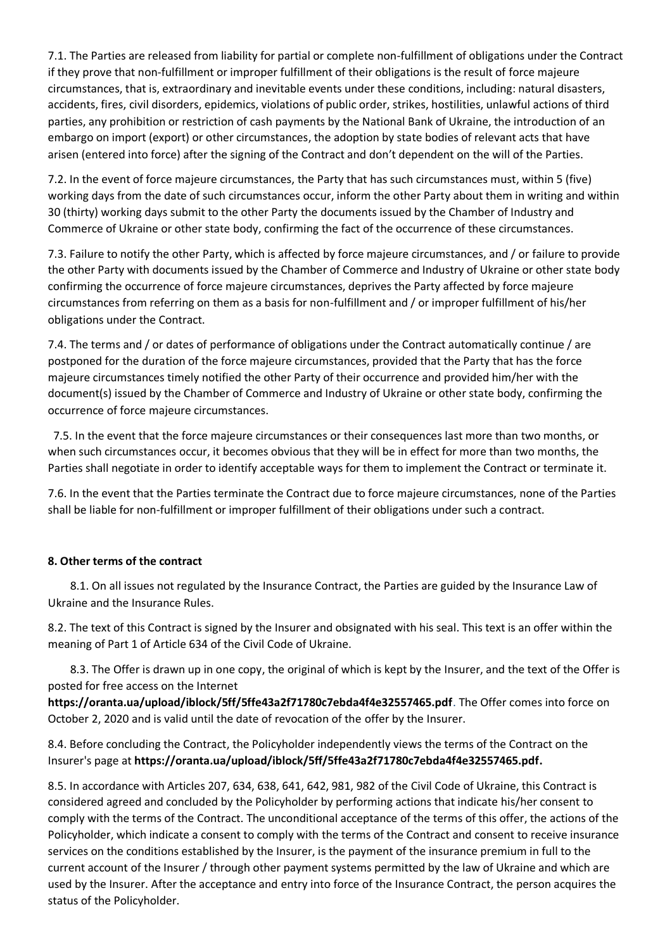7.1. The Parties are released from liability for partial or complete non-fulfillment of obligations under the Contract if they prove that non-fulfillment or improper fulfillment of their obligations is the result of force majeure circumstances, that is, extraordinary and inevitable events under these conditions, including: natural disasters, accidents, fires, civil disorders, epidemics, violations of public order, strikes, hostilities, unlawful actions of third parties, any prohibition or restriction of cash payments by the National Bank of Ukraine, the introduction of an embargo on import (export) or other circumstances, the adoption by state bodies of relevant acts that have arisen (entered into force) after the signing of the Contract and don't dependent on the will of the Parties.

7.2. In the event of force majeure circumstances, the Party that has such circumstances must, within 5 (five) working days from the date of such circumstances occur, inform the other Party about them in writing and within 30 (thirty) working days submit to the other Party the documents issued by the Chamber of Industry and Commerce of Ukraine or other state body, confirming the fact of the occurrence of these circumstances.

7.3. Failure to notify the other Party, which is affected by force majeure circumstances, and / or failure to provide the other Party with documents issued by the Chamber of Commerce and Industry of Ukraine or other state body confirming the occurrence of force majeure circumstances, deprives the Party affected by force majeure circumstances from referring on them as a basis for non-fulfillment and / or improper fulfillment of his/her obligations under the Contract.

7.4. The terms and / or dates of performance of obligations under the Contract automatically continue / are postponed for the duration of the force majeure circumstances, provided that the Party that has the force majeure circumstances timely notified the other Party of their occurrence and provided him/her with the document(s) issued by the Chamber of Commerce and Industry of Ukraine or other state body, confirming the occurrence of force majeure circumstances.

 7.5. In the event that the force majeure circumstances or their consequences last more than two months, or when such circumstances occur, it becomes obvious that they will be in effect for more than two months, the Parties shall negotiate in order to identify acceptable ways for them to implement the Contract or terminate it.

7.6. In the event that the Parties terminate the Contract due to force majeure circumstances, none of the Parties shall be liable for non-fulfillment or improper fulfillment of their obligations under such a contract.

## **8. Other terms of the contract**

 8.1. On all issues not regulated by the Insurance Contract, the Parties are guided by the Insurance Law of Ukraine and the Insurance Rules.

8.2. The text of this Contract is signed by the Insurer and obsignated with his seal. This text is an offer within the meaning of Part 1 of Article 634 of the Civil Code of Ukraine.

 8.3. The Offer is drawn up in one copy, the original of which is kept by the Insurer, and the text of the Offer is posted for free access on the Internet

**<https://oranta.ua/upload/iblock/5ff/5ffe43a2f71780c7ebda4f4e32557465.pdf>**. The Offer comes into force on October 2, 2020 and is valid until the date of revocation of the offer by the Insurer.

8.4. Before concluding the Contract, the Policyholder independently views the terms of the Contract on the Insurer's page at **[https://oranta.ua/upload/iblock/5ff/5ffe43a2f71780c7ebda4f4e32557465.pdf.](https://oranta.ua/upload/iblock/5ff/5ffe43a2f71780c7ebda4f4e32557465.pdf)**

8.5. In accordance with Articles 207, 634, 638, 641, 642, 981, 982 of the Civil Code of Ukraine, this Contract is considered agreed and concluded by the Policyholder by performing actions that indicate his/her consent to comply with the terms of the Contract. The unconditional acceptance of the terms of this offer, the actions of the Policyholder, which indicate a consent to comply with the terms of the Contract and consent to receive insurance services on the conditions established by the Insurer, is the payment of the insurance premium in full to the current account of the Insurer / through other payment systems permitted by the law of Ukraine and which are used by the Insurer. After the acceptance and entry into force of the Insurance Contract, the person acquires the status of the Policyholder.